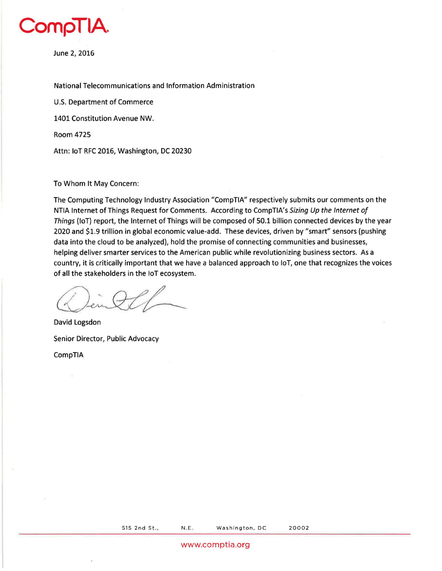

June 2, 2016

National Telecommunications and Information Administration

U.S. Department of Commerce 1401 Constitution Avenue NW. Room 4725 Attn: loT RFC 2016, Washington, DC 20230

#### To Whom It May Concern:

The Computing Technology Industry Association "CompTIA" respectively submits our comments on the NTIA Internet of Things Request for Comments. According to CompTIA's Sizing Up the Internet of Things (loT) report, the Internet of Things will be composed of 50.1 billion connected devices by the year 2020 and \$1.9 trillion in global economic value-add. These devices, driven by "smart" sensors (pushing data into the cloud to be analyzed), hold the promise of connecting communities and businesses, helping deliver smarter services to the American public while revolutionizing business sectors. As a country, it is critically important that we have a balanced approach to loT, one that recognizes the voices of all the stakeholders in the loT ecosystem.

David Logsdon Senior Director, Public Advocacy CompTIA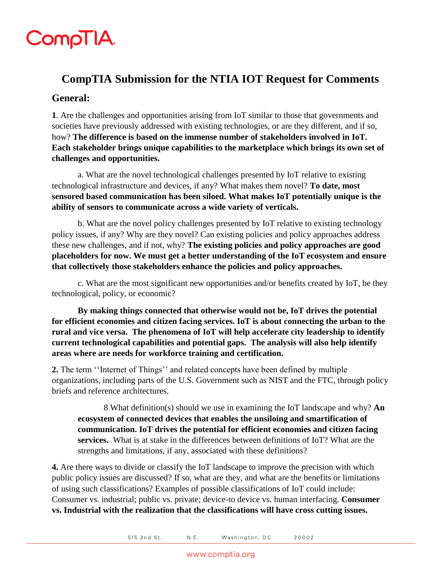# CompTIA.

#### **CompTIA Submission for the NTIA IOT Request for Comments General:**

**1**. Are the challenges and opportunities arising from IoT similar to those that governments and societies have previously addressed with existing technologies, or are they different, and if so, how? **The difference is based on the immense number of stakeholders involved in IoT. Each stakeholder brings unique capabilities to the marketplace which brings its own set of challenges and opportunities.**

a. What are the novel technological challenges presented by IoT relative to existing technological infrastructure and devices, if any? What makes them novel? **To date, most sensored based communication has been siloed. What makes IoT potentially unique is the ability of sensors to communicate across a wide variety of verticals.**

b. What are the novel policy challenges presented by IoT relative to existing technology policy issues, if any? Why are they novel? Can existing policies and policy approaches address these new challenges, and if not, why? **The existing policies and policy approaches are good placeholders for now. We must get a better understanding of the IoT ecosystem and ensure that collectively those stakeholders enhance the policies and policy approaches.**

c. What are the most significant new opportunities and/or benefits created by IoT, be they technological, policy, or economic?

**By making things connected that otherwise would not be, IoT drives the potential for efficient economies and citizen facing services. IoT is about connecting the urban to the rural and vice versa. The phenomena of IoT will help accelerate city leadership to identify current technological capabilities and potential gaps. The analysis will also help identify areas where are needs for workforce training and certification.**

**2.** The term ''Internet of Things'' and related concepts have been defined by multiple organizations, including parts of the U.S. Government such as NIST and the FTC, through policy briefs and reference architectures.

8 What definition(s) should we use in examining the IoT landscape and why? **An ecosystem of connected devices that enables the unsiloing and smartification of communication. IoT drives the potential for efficient economies and citizen facing services.** What is at stake in the differences between definitions of IoT? What are the strengths and limitations, if any, associated with these definitions?

**4.** Are there ways to divide or classify the IoT landscape to improve the precision with which public policy issues are discussed? If so, what are they, and what are the benefits or limitations of using such classifications? Examples of possible classifications of IoT could include: Consumer vs. industrial; public vs. private; device-to device vs. human interfacing. **Consumer vs. Industrial with the realization that the classifications will have cross cutting issues.**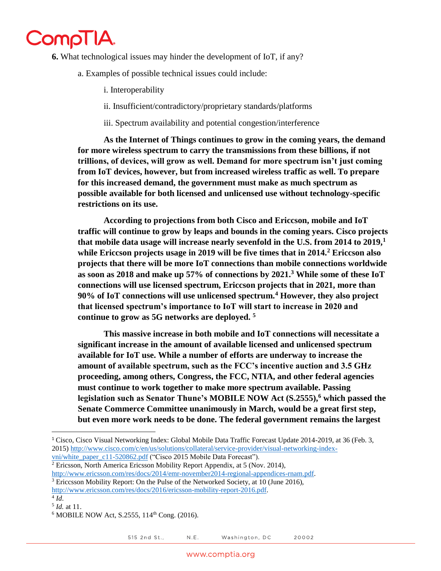

**6.** What technological issues may hinder the development of IoT, if any?

a. Examples of possible technical issues could include:

- i. Interoperability
- ii. Insufficient/contradictory/proprietary standards/platforms
- iii. Spectrum availability and potential congestion/interference

**As the Internet of Things continues to grow in the coming years, the demand for more wireless spectrum to carry the transmissions from these billions, if not trillions, of devices, will grow as well. Demand for more spectrum isn't just coming from IoT devices, however, but from increased wireless traffic as well. To prepare for this increased demand, the government must make as much spectrum as possible available for both licensed and unlicensed use without technology-specific restrictions on its use.** 

**According to projections from both Cisco and Ericcson, mobile and IoT traffic will continue to grow by leaps and bounds in the coming years. Cisco projects that mobile data usage will increase nearly sevenfold in the U.S. from 2014 to 2019,<sup>1</sup> while Ericcson projects usage in 2019 will be five times that in 2014.<sup>2</sup> Ericcson also projects that there will be more IoT connections than mobile connections worldwide as soon as 2018 and make up 57% of connections by 2021.<sup>3</sup> While some of these IoT connections will use licensed spectrum, Ericcson projects that in 2021, more than 90% of IoT connections will use unlicensed spectrum.<sup>4</sup> However, they also project that licensed spectrum's importance to IoT will start to increase in 2020 and continue to grow as 5G networks are deployed. <sup>5</sup>**

**This massive increase in both mobile and IoT connections will necessitate a significant increase in the amount of available licensed and unlicensed spectrum available for IoT use. While a number of efforts are underway to increase the amount of available spectrum, such as the FCC's incentive auction and 3.5 GHz proceeding, among others, Congress, the FCC, NTIA, and other federal agencies must continue to work together to make more spectrum available. Passing legislation such as Senator Thune's MOBILE NOW Act (S.2555),<sup>6</sup> which passed the Senate Commerce Committee unanimously in March, would be a great first step, but even more work needs to be done. The federal government remains the largest** 

<sup>2</sup> Ericsson, North America Ericsson Mobility Report Appendix, at 5 (Nov. 2014),

 $\overline{\phantom{a}}$ 

<sup>&</sup>lt;sup>1</sup> Cisco, Cisco Visual Networking Index: Global Mobile Data Traffic Forecast Update 2014-2019, at 36 (Feb. 3, 2015) [http://www.cisco.com/c/en/us/solutions/collateral/service-provider/visual-networking-index-](http://www.cisco.com/c/en/us/solutions/collateral/service-provider/visual-networking-index-vni/white_paper_c11-520862.pdf)

[vni/white\\_paper\\_c11-520862.pdf](http://www.cisco.com/c/en/us/solutions/collateral/service-provider/visual-networking-index-vni/white_paper_c11-520862.pdf) ("Cisco 2015 Mobile Data Forecast").

[http://www.ericsson.com/res/docs/2014/emr-november2014-regional-appendices-rnam.pdf.](http://www.ericsson.com/res/docs/2014/emr-november2014-regional-appendices-rnam.pdf) <sup>3</sup> Ericcsson Mobility Report: On the Pulse of the Networked Society, at 10 (June 2016),

[http://www.ericsson.com/res/docs/2016/ericsson-mobility-report-2016.pdf.](http://www.ericsson.com/res/docs/2016/ericsson-mobility-report-2016.pdf)

<sup>4</sup> *Id*.

<sup>5</sup> *Id.* at 11.

 $6$  MOBILE NOW Act, S.2555, 114<sup>th</sup> Cong. (2016).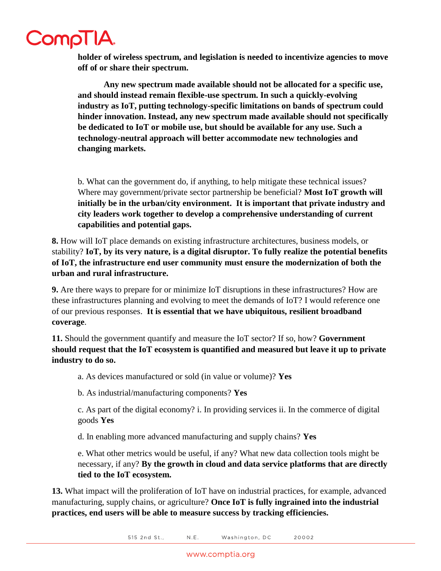

**holder of wireless spectrum, and legislation is needed to incentivize agencies to move off of or share their spectrum.** 

**Any new spectrum made available should not be allocated for a specific use, and should instead remain flexible-use spectrum. In such a quickly-evolving industry as IoT, putting technology-specific limitations on bands of spectrum could hinder innovation. Instead, any new spectrum made available should not specifically be dedicated to IoT or mobile use, but should be available for any use. Such a technology-neutral approach will better accommodate new technologies and changing markets.** 

b. What can the government do, if anything, to help mitigate these technical issues? Where may government/private sector partnership be beneficial? **Most IoT growth will initially be in the urban/city environment. It is important that private industry and city leaders work together to develop a comprehensive understanding of current capabilities and potential gaps.**

**8.** How will IoT place demands on existing infrastructure architectures, business models, or stability? **IoT, by its very nature, is a digital disruptor. To fully realize the potential benefits of IoT, the infrastructure end user community must ensure the modernization of both the urban and rural infrastructure.**

**9.** Are there ways to prepare for or minimize IoT disruptions in these infrastructures? How are these infrastructures planning and evolving to meet the demands of IoT? I would reference one of our previous responses. **It is essential that we have ubiquitous, resilient broadband coverage**.

**11.** Should the government quantify and measure the IoT sector? If so, how? **Government should request that the IoT ecosystem is quantified and measured but leave it up to private industry to do so.**

a. As devices manufactured or sold (in value or volume)? **Yes**

b. As industrial/manufacturing components? **Yes**

c. As part of the digital economy? i. In providing services ii. In the commerce of digital goods **Yes**

d. In enabling more advanced manufacturing and supply chains? **Yes**

e. What other metrics would be useful, if any? What new data collection tools might be necessary, if any? **By the growth in cloud and data service platforms that are directly tied to the IoT ecosystem.** 

**13.** What impact will the proliferation of IoT have on industrial practices, for example, advanced manufacturing, supply chains, or agriculture? **Once IoT is fully ingrained into the industrial practices, end users will be able to measure success by tracking efficiencies.**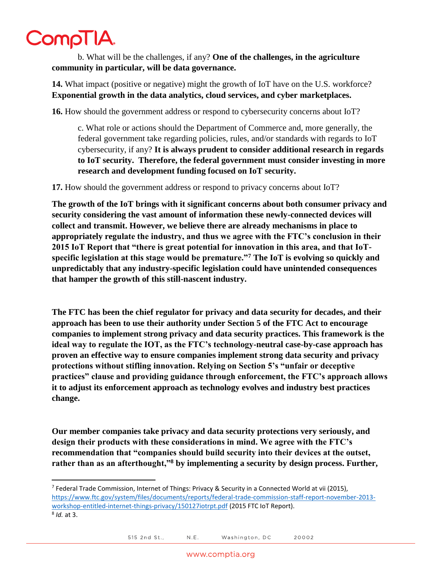# CompTIA.

 $\overline{a}$ 

b. What will be the challenges, if any? **One of the challenges, in the agriculture community in particular, will be data governance.**

**14.** What impact (positive or negative) might the growth of IoT have on the U.S. workforce? **Exponential growth in the data analytics, cloud services, and cyber marketplaces.**

**16.** How should the government address or respond to cybersecurity concerns about IoT?

c. What role or actions should the Department of Commerce and, more generally, the federal government take regarding policies, rules, and/or standards with regards to IoT cybersecurity, if any? **It is always prudent to consider additional research in regards to IoT security. Therefore, the federal government must consider investing in more research and development funding focused on IoT security.**

**17.** How should the government address or respond to privacy concerns about IoT?

**The growth of the IoT brings with it significant concerns about both consumer privacy and security considering the vast amount of information these newly-connected devices will collect and transmit. However, we believe there are already mechanisms in place to appropriately regulate the industry, and thus we agree with the FTC's conclusion in their 2015 IoT Report that "there is great potential for innovation in this area, and that IoTspecific legislation at this stage would be premature."<sup>7</sup> The IoT is evolving so quickly and unpredictably that any industry-specific legislation could have unintended consequences that hamper the growth of this still-nascent industry.**

**The FTC has been the chief regulator for privacy and data security for decades, and their approach has been to use their authority under Section 5 of the FTC Act to encourage companies to implement strong privacy and data security practices. This framework is the ideal way to regulate the IOT, as the FTC's technology-neutral case-by-case approach has proven an effective way to ensure companies implement strong data security and privacy protections without stifling innovation. Relying on Section 5's "unfair or deceptive practices" clause and providing guidance through enforcement, the FTC's approach allows it to adjust its enforcement approach as technology evolves and industry best practices change.**

**Our member companies take privacy and data security protections very seriously, and design their products with these considerations in mind. We agree with the FTC's recommendation that "companies should build security into their devices at the outset, rather than as an afterthought,"<sup>8</sup> by implementing a security by design process. Further,** 

<sup>7</sup> Federal Trade Commission, Internet of Things: Privacy & Security in a Connected World at vii (2015), [https://www.ftc.gov/system/files/documents/reports/federal-trade-commission-staff-report-november-2013](https://www.ftc.gov/system/files/documents/reports/federal-trade-commission-staff-report-november-2013-workshop-entitled-internet-things-privacy/150127iotrpt.pdf) [workshop-entitled-internet-things-privacy/150127iotrpt.pdf](https://www.ftc.gov/system/files/documents/reports/federal-trade-commission-staff-report-november-2013-workshop-entitled-internet-things-privacy/150127iotrpt.pdf) (2015 FTC IoT Report). 8 *Id.* at 3.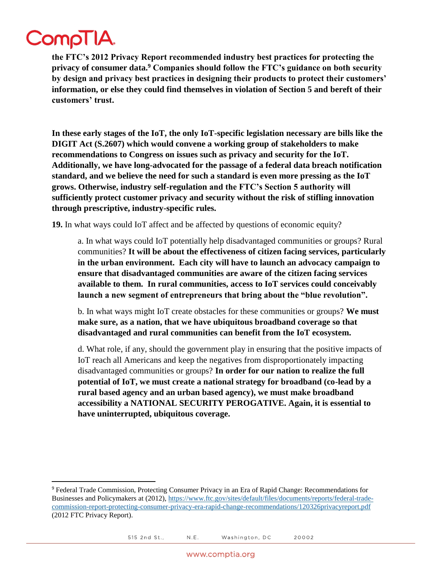### CompTIA.

 $\overline{\phantom{a}}$ 

**the FTC's 2012 Privacy Report recommended industry best practices for protecting the privacy of consumer data.<sup>9</sup> Companies should follow the FTC's guidance on both security by design and privacy best practices in designing their products to protect their customers' information, or else they could find themselves in violation of Section 5 and bereft of their customers' trust.**

**In these early stages of the IoT, the only IoT-specific legislation necessary are bills like the DIGIT Act (S.2607) which would convene a working group of stakeholders to make recommendations to Congress on issues such as privacy and security for the IoT. Additionally, we have long-advocated for the passage of a federal data breach notification standard, and we believe the need for such a standard is even more pressing as the IoT grows. Otherwise, industry self-regulation and the FTC's Section 5 authority will sufficiently protect customer privacy and security without the risk of stifling innovation through prescriptive, industry-specific rules.** 

**19.** In what ways could IoT affect and be affected by questions of economic equity?

a. In what ways could IoT potentially help disadvantaged communities or groups? Rural communities? **It will be about the effectiveness of citizen facing services, particularly in the urban environment. Each city will have to launch an advocacy campaign to ensure that disadvantaged communities are aware of the citizen facing services available to them. In rural communities, access to IoT services could conceivably launch a new segment of entrepreneurs that bring about the "blue revolution".**

b. In what ways might IoT create obstacles for these communities or groups? **We must make sure, as a nation, that we have ubiquitous broadband coverage so that disadvantaged and rural communities can benefit from the IoT ecosystem.**

d. What role, if any, should the government play in ensuring that the positive impacts of IoT reach all Americans and keep the negatives from disproportionately impacting disadvantaged communities or groups? **In order for our nation to realize the full potential of IoT, we must create a national strategy for broadband (co-lead by a rural based agency and an urban based agency), we must make broadband accessibility a NATIONAL SECURITY PEROGATIVE. Again, it is essential to have uninterrupted, ubiquitous coverage.**

<sup>9</sup> Federal Trade Commission, Protecting Consumer Privacy in an Era of Rapid Change: Recommendations for Businesses and Policymakers at (2012)[, https://www.ftc.gov/sites/default/files/documents/reports/federal-trade](https://www.ftc.gov/sites/default/files/documents/reports/federal-trade-commission-report-protecting-consumer-privacy-era-rapid-change-recommendations/120326privacyreport.pdf)[commission-report-protecting-consumer-privacy-era-rapid-change-recommendations/120326privacyreport.pdf](https://www.ftc.gov/sites/default/files/documents/reports/federal-trade-commission-report-protecting-consumer-privacy-era-rapid-change-recommendations/120326privacyreport.pdf) (2012 FTC Privacy Report).